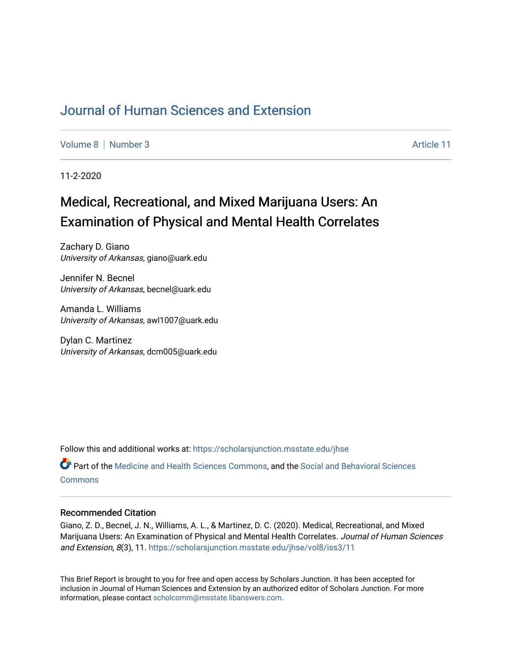# [Journal of Human Sciences and Extension](https://scholarsjunction.msstate.edu/jhse)

[Volume 8](https://scholarsjunction.msstate.edu/jhse/vol8) | [Number 3](https://scholarsjunction.msstate.edu/jhse/vol8/iss3) Article 11

11-2-2020

# Medical, Recreational, and Mixed Marijuana Users: An Examination of Physical and Mental Health Correlates

Zachary D. Giano University of Arkansas, giano@uark.edu

Jennifer N. Becnel University of Arkansas, becnel@uark.edu

Amanda L. Williams University of Arkansas, awl1007@uark.edu

Dylan C. Martinez University of Arkansas, dcm005@uark.edu

Follow this and additional works at: [https://scholarsjunction.msstate.edu/jhse](https://scholarsjunction.msstate.edu/jhse?utm_source=scholarsjunction.msstate.edu%2Fjhse%2Fvol8%2Fiss3%2F11&utm_medium=PDF&utm_campaign=PDFCoverPages)

Part of the [Medicine and Health Sciences Commons,](http://network.bepress.com/hgg/discipline/648?utm_source=scholarsjunction.msstate.edu%2Fjhse%2Fvol8%2Fiss3%2F11&utm_medium=PDF&utm_campaign=PDFCoverPages) and the [Social and Behavioral Sciences](http://network.bepress.com/hgg/discipline/316?utm_source=scholarsjunction.msstate.edu%2Fjhse%2Fvol8%2Fiss3%2F11&utm_medium=PDF&utm_campaign=PDFCoverPages) **[Commons](http://network.bepress.com/hgg/discipline/316?utm_source=scholarsjunction.msstate.edu%2Fjhse%2Fvol8%2Fiss3%2F11&utm_medium=PDF&utm_campaign=PDFCoverPages)** 

#### Recommended Citation

Giano, Z. D., Becnel, J. N., Williams, A. L., & Martinez, D. C. (2020). Medical, Recreational, and Mixed Marijuana Users: An Examination of Physical and Mental Health Correlates. Journal of Human Sciences and Extension, 8(3), 11. [https://scholarsjunction.msstate.edu/jhse/vol8/iss3/11](https://scholarsjunction.msstate.edu/jhse/vol8/iss3/11?utm_source=scholarsjunction.msstate.edu%2Fjhse%2Fvol8%2Fiss3%2F11&utm_medium=PDF&utm_campaign=PDFCoverPages) 

This Brief Report is brought to you for free and open access by Scholars Junction. It has been accepted for inclusion in Journal of Human Sciences and Extension by an authorized editor of Scholars Junction. For more information, please contact [scholcomm@msstate.libanswers.com](mailto:scholcomm@msstate.libanswers.com).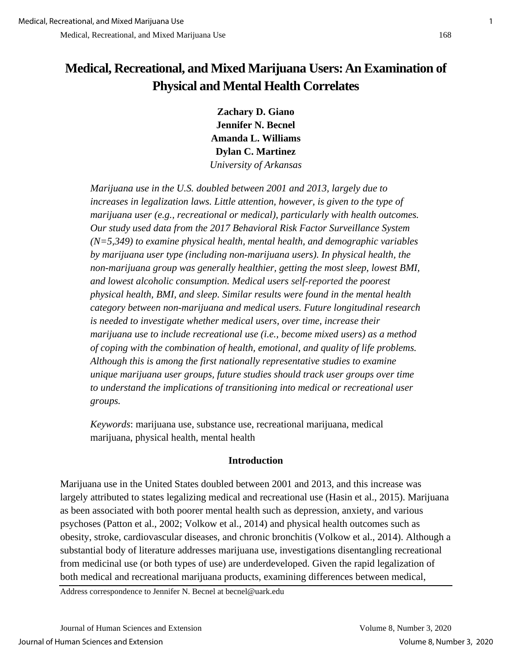# **Medical, Recreational, and Mixed Marijuana Users: An Examination of Physical and Mental Health Correlates**

**Zachary D. Giano Jennifer N. Becnel Amanda L. Williams Dylan C. Martinez**  *University of Arkansas* 

*Marijuana use in the U.S. doubled between 2001 and 2013, largely due to increases in legalization laws. Little attention, however, is given to the type of marijuana user (e.g., recreational or medical), particularly with health outcomes. Our study used data from the 2017 Behavioral Risk Factor Surveillance System (N=5,349) to examine physical health, mental health, and demographic variables by marijuana user type (including non-marijuana users). In physical health, the non-marijuana group was generally healthier, getting the most sleep, lowest BMI, and lowest alcoholic consumption. Medical users self-reported the poorest physical health, BMI, and sleep. Similar results were found in the mental health category between non-marijuana and medical users. Future longitudinal research is needed to investigate whether medical users, over time, increase their marijuana use to include recreational use (i.e., become mixed users) as a method of coping with the combination of health, emotional, and quality of life problems. Although this is among the first nationally representative studies to examine unique marijuana user groups, future studies should track user groups over time to understand the implications of transitioning into medical or recreational user groups.*

*Keywords*: marijuana use, substance use, recreational marijuana, medical marijuana, physical health, mental health

# **Introduction**

Marijuana use in the United States doubled between 2001 and 2013, and this increase was largely attributed to states legalizing medical and recreational use (Hasin et al., 2015). Marijuana as been associated with both poorer mental health such as depression, anxiety, and various psychoses (Patton et al., 2002; Volkow et al., 2014) and physical health outcomes such as obesity, stroke, cardiovascular diseases, and chronic bronchitis (Volkow et al., 2014). Although a substantial body of literature addresses marijuana use, investigations disentangling recreational from medicinal use (or both types of use) are underdeveloped. Given the rapid legalization of both medical and recreational marijuana products, examining differences between medical,

Address correspondence to Jennifer N. Becnel at becnel@uark.edu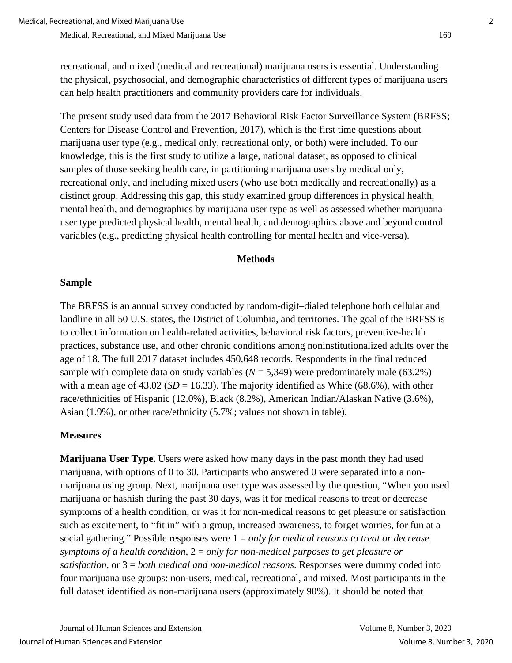recreational, and mixed (medical and recreational) marijuana users is essential. Understanding the physical, psychosocial, and demographic characteristics of different types of marijuana users can help health practitioners and community providers care for individuals.

The present study used data from the 2017 Behavioral Risk Factor Surveillance System (BRFSS; Centers for Disease Control and Prevention, 2017), which is the first time questions about marijuana user type (e.g., medical only, recreational only, or both) were included. To our knowledge, this is the first study to utilize a large, national dataset, as opposed to clinical samples of those seeking health care, in partitioning marijuana users by medical only, recreational only, and including mixed users (who use both medically and recreationally) as a distinct group. Addressing this gap, this study examined group differences in physical health, mental health, and demographics by marijuana user type as well as assessed whether marijuana user type predicted physical health, mental health, and demographics above and beyond control variables (e.g., predicting physical health controlling for mental health and vice-versa).

# **Methods**

#### **Sample**

The BRFSS is an annual survey conducted by random-digit–dialed telephone both cellular and landline in all 50 U.S. states, the District of Columbia, and territories. The goal of the BRFSS is to collect information on health-related activities, behavioral risk factors, preventive-health practices, substance use, and other chronic conditions among noninstitutionalized adults over the age of 18. The full 2017 dataset includes 450,648 records. Respondents in the final reduced sample with complete data on study variables  $(N = 5,349)$  were predominately male (63.2%) with a mean age of  $43.02$  (*SD* = 16.33). The majority identified as White (68.6%), with other race/ethnicities of Hispanic (12.0%), Black (8.2%), American Indian/Alaskan Native (3.6%), Asian (1.9%), or other race/ethnicity (5.7%; values not shown in table).

# **Measures**

**Marijuana User Type.** Users were asked how many days in the past month they had used marijuana, with options of 0 to 30. Participants who answered 0 were separated into a nonmarijuana using group. Next, marijuana user type was assessed by the question, "When you used marijuana or hashish during the past 30 days, was it for medical reasons to treat or decrease symptoms of a health condition, or was it for non-medical reasons to get pleasure or satisfaction such as excitement, to "fit in" with a group, increased awareness, to forget worries, for fun at a social gathering." Possible responses were 1 = *only for medical reasons to treat or decrease symptoms of a health condition*, 2 = *only for non-medical purposes to get pleasure or satisfaction*, or 3 = *both medical and non-medical reasons*. Responses were dummy coded into four marijuana use groups: non-users, medical, recreational, and mixed. Most participants in the full dataset identified as non-marijuana users (approximately 90%). It should be noted that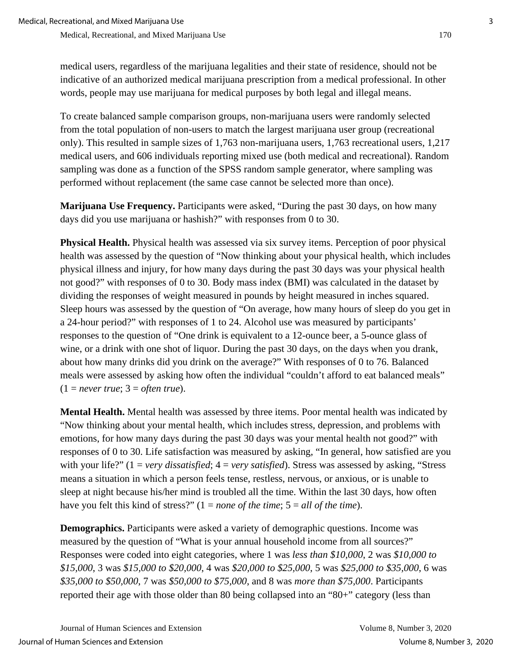medical users, regardless of the marijuana legalities and their state of residence, should not be indicative of an authorized medical marijuana prescription from a medical professional. In other words, people may use marijuana for medical purposes by both legal and illegal means.

To create balanced sample comparison groups, non-marijuana users were randomly selected from the total population of non-users to match the largest marijuana user group (recreational only). This resulted in sample sizes of 1,763 non-marijuana users, 1,763 recreational users, 1,217 medical users, and 606 individuals reporting mixed use (both medical and recreational). Random sampling was done as a function of the SPSS random sample generator, where sampling was performed without replacement (the same case cannot be selected more than once).

**Marijuana Use Frequency.** Participants were asked, "During the past 30 days, on how many days did you use marijuana or hashish?" with responses from 0 to 30.

**Physical Health.** Physical health was assessed via six survey items. Perception of poor physical health was assessed by the question of "Now thinking about your physical health, which includes physical illness and injury, for how many days during the past 30 days was your physical health not good?" with responses of 0 to 30. Body mass index (BMI) was calculated in the dataset by dividing the responses of weight measured in pounds by height measured in inches squared. Sleep hours was assessed by the question of "On average, how many hours of sleep do you get in a 24-hour period?" with responses of 1 to 24. Alcohol use was measured by participants' responses to the question of "One drink is equivalent to a 12-ounce beer, a 5-ounce glass of wine, or a drink with one shot of liquor. During the past 30 days, on the days when you drank, about how many drinks did you drink on the average?" With responses of 0 to 76. Balanced meals were assessed by asking how often the individual "couldn't afford to eat balanced meals"  $(1 = never true; 3 = often true).$ 

**Mental Health.** Mental health was assessed by three items. Poor mental health was indicated by "Now thinking about your mental health, which includes stress, depression, and problems with emotions, for how many days during the past 30 days was your mental health not good?" with responses of 0 to 30. Life satisfaction was measured by asking, "In general, how satisfied are you with your life?" (1 = *very dissatisfied*; 4 = *very satisfied*). Stress was assessed by asking, "Stress means a situation in which a person feels tense, restless, nervous, or anxious, or is unable to sleep at night because his/her mind is troubled all the time. Within the last 30 days, how often have you felt this kind of stress?" (1 = *none of the time*; 5 = *all of the time*).

**Demographics.** Participants were asked a variety of demographic questions. Income was measured by the question of "What is your annual household income from all sources?" Responses were coded into eight categories, where 1 was *less than \$10,000*, 2 was *\$10,000 to \$15,000*, 3 was *\$15,000 to \$20,000*, 4 was *\$20,000 to \$25,000*, 5 was *\$25,000 to \$35,000*, 6 was *\$35,000 to \$50,000*, 7 was *\$50,000 to \$75,000*, and 8 was *more than \$75,000*. Participants reported their age with those older than 80 being collapsed into an "80+" category (less than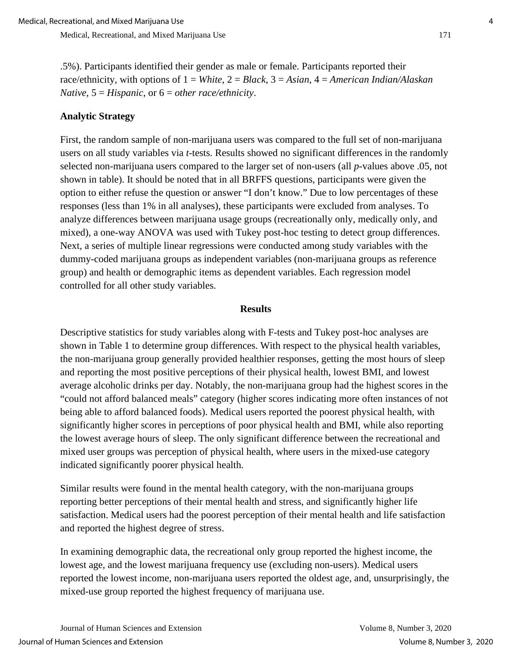.5%). Participants identified their gender as male or female. Participants reported their race/ethnicity, with options of 1 = *White*, 2 = *Black*, 3 = *Asian*, 4 = *American Indian/Alaskan Native*, 5 = *Hispanic*, or 6 = *other race/ethnicity*.

#### **Analytic Strategy**

First, the random sample of non-marijuana users was compared to the full set of non-marijuana users on all study variables via *t*-tests. Results showed no significant differences in the randomly selected non-marijuana users compared to the larger set of non-users (all *p-*values above .05, not shown in table). It should be noted that in all BRFFS questions, participants were given the option to either refuse the question or answer "I don't know." Due to low percentages of these responses (less than 1% in all analyses), these participants were excluded from analyses. To analyze differences between marijuana usage groups (recreationally only, medically only, and mixed), a one-way ANOVA was used with Tukey post-hoc testing to detect group differences. Next, a series of multiple linear regressions were conducted among study variables with the dummy-coded marijuana groups as independent variables (non-marijuana groups as reference group) and health or demographic items as dependent variables. Each regression model controlled for all other study variables.

#### **Results**

Descriptive statistics for study variables along with F-tests and Tukey post-hoc analyses are shown in Table 1 to determine group differences. With respect to the physical health variables, the non-marijuana group generally provided healthier responses, getting the most hours of sleep and reporting the most positive perceptions of their physical health, lowest BMI, and lowest average alcoholic drinks per day. Notably, the non-marijuana group had the highest scores in the "could not afford balanced meals" category (higher scores indicating more often instances of not being able to afford balanced foods). Medical users reported the poorest physical health, with significantly higher scores in perceptions of poor physical health and BMI, while also reporting the lowest average hours of sleep. The only significant difference between the recreational and mixed user groups was perception of physical health, where users in the mixed-use category indicated significantly poorer physical health.

Similar results were found in the mental health category, with the non-marijuana groups reporting better perceptions of their mental health and stress, and significantly higher life satisfaction. Medical users had the poorest perception of their mental health and life satisfaction and reported the highest degree of stress.

In examining demographic data, the recreational only group reported the highest income, the lowest age, and the lowest marijuana frequency use (excluding non-users). Medical users reported the lowest income, non-marijuana users reported the oldest age, and, unsurprisingly, the mixed-use group reported the highest frequency of marijuana use.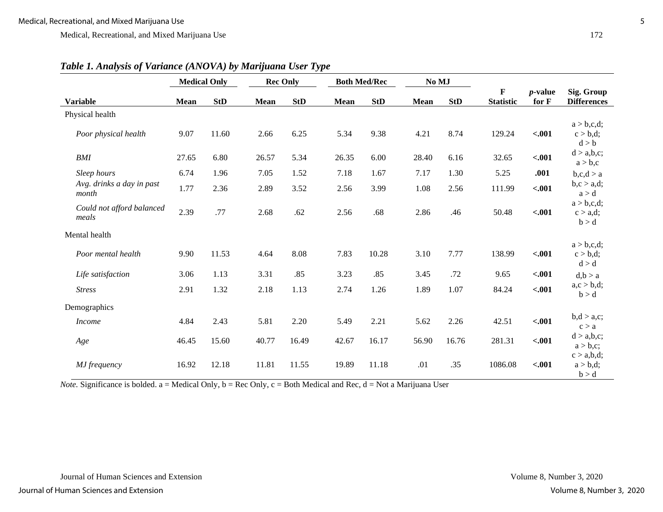|                                    | <b>Medical Only</b> |            | <b>Rec Only</b> |            |             | <b>Both Med/Rec</b> |             | No MJ      |                       |                     |                                   |
|------------------------------------|---------------------|------------|-----------------|------------|-------------|---------------------|-------------|------------|-----------------------|---------------------|-----------------------------------|
| <b>Variable</b>                    | <b>Mean</b>         | <b>StD</b> | <b>Mean</b>     | <b>StD</b> | <b>Mean</b> | <b>StD</b>          | <b>Mean</b> | <b>StD</b> | F<br><b>Statistic</b> | $p$ -value<br>for F | Sig. Group<br><b>Differences</b>  |
| Physical health                    |                     |            |                 |            |             |                     |             |            |                       |                     |                                   |
| Poor physical health               | 9.07                | 11.60      | 2.66            | 6.25       | 5.34        | 9.38                | 4.21        | 8.74       | 129.24                | $-.001$             | a > b, c, d;<br>c > b,d;<br>d > b |
| <b>BMI</b>                         | 27.65               | 6.80       | 26.57           | 5.34       | 26.35       | 6.00                | 28.40       | 6.16       | 32.65                 | $-.001$             | d > a,b,c;<br>a > b,c             |
| Sleep hours                        | 6.74                | 1.96       | 7.05            | 1.52       | 7.18        | 1.67                | 7.17        | 1.30       | 5.25                  | .001                | b, c, d > a                       |
| Avg. drinks a day in past<br>month | 1.77                | 2.36       | 2.89            | 3.52       | 2.56        | 3.99                | 1.08        | 2.56       | 111.99                | $-.001$             | b, c > a, d;<br>a > d             |
| Could not afford balanced<br>meals | 2.39                | .77        | 2.68            | .62        | 2.56        | .68                 | 2.86        | .46        | 50.48                 | $-.001$             | a > b, c, d;<br>c > a,d;<br>b > d |
| Mental health                      |                     |            |                 |            |             |                     |             |            |                       |                     |                                   |
| Poor mental health                 | 9.90                | 11.53      | 4.64            | 8.08       | 7.83        | 10.28               | 3.10        | 7.77       | 138.99                | $-.001$             | a > b, c, d;<br>c > b,d;<br>d > d |
| Life satisfaction                  | 3.06                | 1.13       | 3.31            | .85        | 3.23        | .85                 | 3.45        | .72        | 9.65                  | $-.001$             | d,b > a                           |
| <b>Stress</b>                      | 2.91                | 1.32       | 2.18            | 1.13       | 2.74        | 1.26                | 1.89        | 1.07       | 84.24                 | $-.001$             | a, c > b, d;<br>b > d             |
| Demographics                       |                     |            |                 |            |             |                     |             |            |                       |                     |                                   |
| <b>Income</b>                      | 4.84                | 2.43       | 5.81            | 2.20       | 5.49        | 2.21                | 5.62        | 2.26       | 42.51                 | $-.001$             | b,d > a,c;<br>c > a               |
| Age                                | 46.45               | 15.60      | 40.77           | 16.49      | 42.67       | 16.17               | 56.90       | 16.76      | 281.31                | $-.001$             | d > a,b,c;<br>a > b,c;            |
| MJ frequency                       | 16.92               | 12.18      | 11.81           | 11.55      | 19.89       | 11.18               | .01         | .35        | 1086.08               | $-.001$             | c > a,b,d;<br>a > b,d;<br>b > d   |

*Table 1. Analysis of Variance (ANOVA) by Marijuana User Type*

*Note.* Significance is bolded. a = Medical Only, b = Rec Only, c = Both Medical and Rec, d = Not a Marijuana User

Journal of Human Sciences and Extension Volume 8, Number 3, 2020

Journal of Human Sciences and Extension **Volume 8, Number 3, 2020**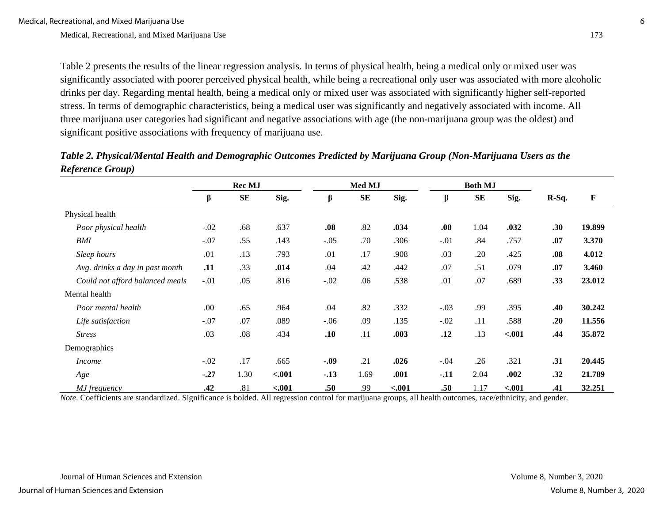Table 2 presents the results of the linear regression analysis. In terms of physical health, being a medical only or mixed user was significantly associated with poorer perceived physical health, while being a recreational only user was associated with more alcoholic drinks per day. Regarding mental health, being a medical only or mixed user was associated with significantly higher self-reported stress. In terms of demographic characteristics, being a medical user was significantly and negatively associated with income. All three marijuana user categories had significant and negative associations with age (the non-marijuana group was the oldest) and significant positive associations with frequency of marijuana use.

|                                 | Rec MJ |            |         | Med MJ |            |         | <b>Both MJ</b> |           |         |         |             |
|---------------------------------|--------|------------|---------|--------|------------|---------|----------------|-----------|---------|---------|-------------|
|                                 | β      | ${\bf SE}$ | Sig.    | β      | ${\bf SE}$ | Sig.    | β              | <b>SE</b> | Sig.    | $R-Sq.$ | $\mathbf F$ |
| Physical health                 |        |            |         |        |            |         |                |           |         |         |             |
| Poor physical health            | $-.02$ | .68        | .637    | .08    | .82        | .034    | .08            | 1.04      | .032    | .30     | 19.899      |
| <b>BMI</b>                      | $-.07$ | .55        | .143    | $-.05$ | .70        | .306    | $-.01$         | .84       | .757    | .07     | 3.370       |
| Sleep hours                     | .01    | .13        | .793    | .01    | .17        | .908    | .03            | .20       | .425    | .08     | 4.012       |
| Avg. drinks a day in past month | .11    | .33        | .014    | .04    | .42        | .442    | .07            | .51       | .079    | .07     | 3.460       |
| Could not afford balanced meals | $-.01$ | .05        | .816    | $-.02$ | .06        | .538    | .01            | .07       | .689    | .33     | 23.012      |
| Mental health                   |        |            |         |        |            |         |                |           |         |         |             |
| Poor mental health              | .00.   | .65        | .964    | .04    | .82        | .332    | $-.03$         | .99       | .395    | .40     | 30.242      |
| Life satisfaction               | $-.07$ | .07        | .089    | $-.06$ | .09        | .135    | $-.02$         | .11       | .588    | .20     | 11.556      |
| <b>Stress</b>                   | .03    | .08        | .434    | .10    | .11        | .003    | .12            | .13       | $-.001$ | .44     | 35.872      |
| Demographics                    |        |            |         |        |            |         |                |           |         |         |             |
| <i>Income</i>                   | $-.02$ | .17        | .665    | $-.09$ | .21        | .026    | $-.04$         | .26       | .321    | .31     | 20.445      |
| Age                             | $-.27$ | 1.30       | $-.001$ | $-.13$ | 1.69       | .001    | $-.11$         | 2.04      | .002    | .32     | 21.789      |
| MJ frequency                    | .42    | .81        | $-.001$ | .50    | .99        | $-.001$ | .50            | 1.17      | $-.001$ | .41     | 32.251      |

*Table 2. Physical/Mental Health and Demographic Outcomes Predicted by Marijuana Group (Non-Marijuana Users as the Reference Group)*

*Note*. Coefficients are standardized. Significance is bolded. All regression control for marijuana groups, all health outcomes, race/ethnicity, and gender.

Journal of Human Sciences and Extension Volume 8, Number 3, 2020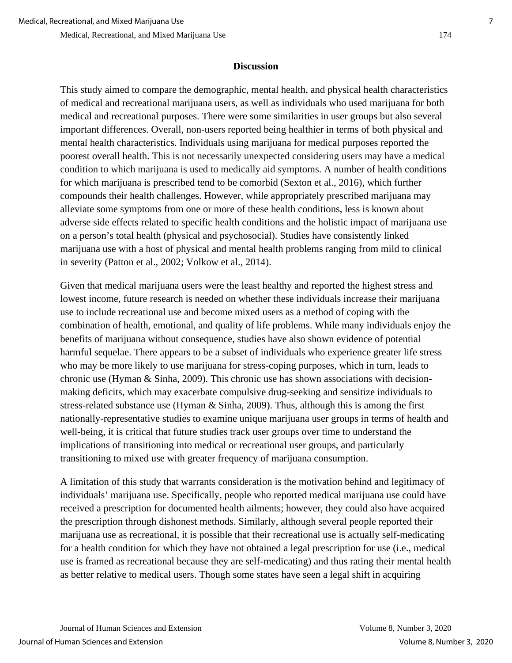# **Discussion**

This study aimed to compare the demographic, mental health, and physical health characteristics of medical and recreational marijuana users, as well as individuals who used marijuana for both medical and recreational purposes. There were some similarities in user groups but also several important differences. Overall, non-users reported being healthier in terms of both physical and mental health characteristics. Individuals using marijuana for medical purposes reported the poorest overall health. This is not necessarily unexpected considering users may have a medical condition to which marijuana is used to medically aid symptoms. A number of health conditions for which marijuana is prescribed tend to be comorbid (Sexton et al., 2016), which further compounds their health challenges. However, while appropriately prescribed marijuana may alleviate some symptoms from one or more of these health conditions, less is known about adverse side effects related to specific health conditions and the holistic impact of marijuana use on a person's total health (physical and psychosocial). Studies have consistently linked marijuana use with a host of physical and mental health problems ranging from mild to clinical in severity (Patton et al., 2002; Volkow et al., 2014).

Given that medical marijuana users were the least healthy and reported the highest stress and lowest income, future research is needed on whether these individuals increase their marijuana use to include recreational use and become mixed users as a method of coping with the combination of health, emotional, and quality of life problems. While many individuals enjoy the benefits of marijuana without consequence, studies have also shown evidence of potential harmful sequelae. There appears to be a subset of individuals who experience greater life stress who may be more likely to use marijuana for stress-coping purposes, which in turn, leads to chronic use (Hyman & Sinha, 2009). This chronic use has shown associations with decisionmaking deficits, which may exacerbate compulsive drug-seeking and sensitize individuals to stress-related substance use (Hyman & Sinha, 2009). Thus, although this is among the first nationally-representative studies to examine unique marijuana user groups in terms of health and well-being, it is critical that future studies track user groups over time to understand the implications of transitioning into medical or recreational user groups, and particularly transitioning to mixed use with greater frequency of marijuana consumption.

A limitation of this study that warrants consideration is the motivation behind and legitimacy of individuals' marijuana use. Specifically, people who reported medical marijuana use could have received a prescription for documented health ailments; however, they could also have acquired the prescription through dishonest methods. Similarly, although several people reported their marijuana use as recreational, it is possible that their recreational use is actually self-medicating for a health condition for which they have not obtained a legal prescription for use (i.e., medical use is framed as recreational because they are self-medicating) and thus rating their mental health as better relative to medical users. Though some states have seen a legal shift in acquiring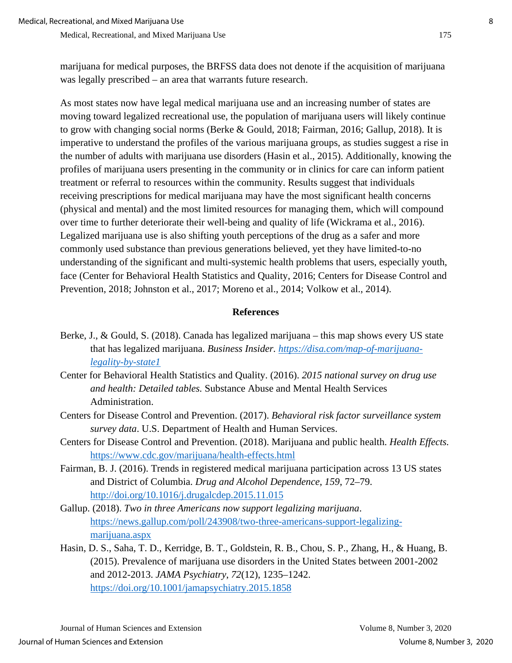marijuana for medical purposes, the BRFSS data does not denote if the acquisition of marijuana was legally prescribed – an area that warrants future research.

As most states now have legal medical marijuana use and an increasing number of states are moving toward legalized recreational use, the population of marijuana users will likely continue to grow with changing social norms (Berke & Gould, 2018; Fairman, 2016; Gallup, 2018). It is imperative to understand the profiles of the various marijuana groups, as studies suggest a rise in the number of adults with marijuana use disorders (Hasin et al., 2015). Additionally, knowing the profiles of marijuana users presenting in the community or in clinics for care can inform patient treatment or referral to resources within the community. Results suggest that individuals receiving prescriptions for medical marijuana may have the most significant health concerns (physical and mental) and the most limited resources for managing them, which will compound over time to further deteriorate their well-being and quality of life (Wickrama et al., 2016). Legalized marijuana use is also shifting youth perceptions of the drug as a safer and more commonly used substance than previous generations believed, yet they have limited-to-no understanding of the significant and multi-systemic health problems that users, especially youth, face (Center for Behavioral Health Statistics and Quality, 2016; Centers for Disease Control and Prevention, 2018; Johnston et al., 2017; Moreno et al., 2014; Volkow et al., 2014).

# **References**

- Berke, J., & Gould, S. (2018). Canada has legalized marijuana this map shows every US state that has legalized marijuana. *Business Insider. [https://disa.com/map-of-marijuana](https://disa.com/map-of-marijuana-legality-by-state1)[legality-by-state1](https://disa.com/map-of-marijuana-legality-by-state1)*
- Center for Behavioral Health Statistics and Quality. (2016). *2015 national survey on drug use and health: Detailed tables.* Substance Abuse and Mental Health Services Administration.
- Centers for Disease Control and Prevention. (2017). *Behavioral risk factor surveillance system survey data*. U.S. Department of Health and Human Services.
- Centers for Disease Control and Prevention. (2018). Marijuana and public health. *Health Effects.* <https://www.cdc.gov/marijuana/health-effects.html>
- Fairman, B. J. (2016). Trends in registered medical marijuana participation across 13 US states and District of Columbia. *Drug and Alcohol Dependence*, *159*, 72–79. <http://doi.org/10.1016/j.drugalcdep.2015.11.015>
- Gallup. (2018). *Two in three Americans now support legalizing marijuana*. [https://news.gallup.com/poll/243908/two-three-americans-support-legalizing](https://news.gallup.com/poll/243908/two-three-americans-support-legalizing-marijuana.aspx)[marijuana.aspx](https://news.gallup.com/poll/243908/two-three-americans-support-legalizing-marijuana.aspx)
- Hasin, D. S., Saha, T. D., Kerridge, B. T., Goldstein, R. B., Chou, S. P., Zhang, H., & Huang, B. (2015). Prevalence of marijuana use disorders in the United States between 2001-2002 and 2012-2013. *JAMA Psychiatry*, *72*(12), 1235–1242. <https://doi.org/10.1001/jamapsychiatry.2015.1858>